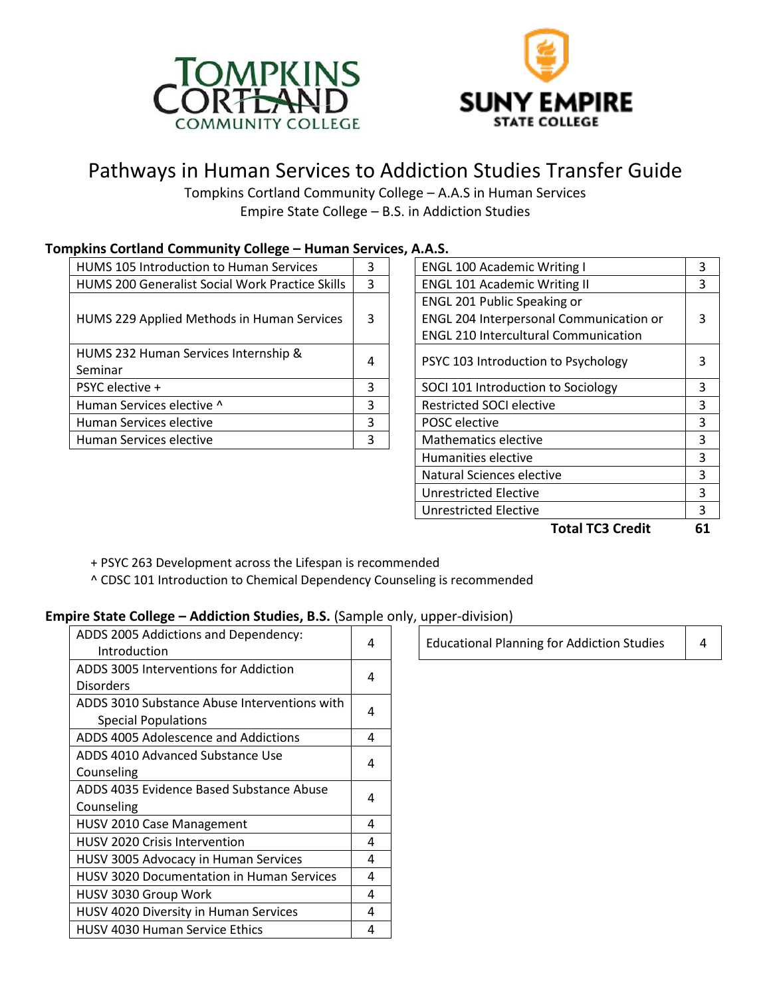



# Pathways in Human Services to Addiction Studies Transfer Guide

Tompkins Cortland Community College – A.A.S in Human Services Empire State College – B.S. in Addiction Studies

# **Tompkins Cortland Community College – Human Services, A.A.S.**

| <b>HUMS 105 Introduction to Human Services</b>  | 3 | <b>ENGL 100 Academic Writing I</b>          |   |
|-------------------------------------------------|---|---------------------------------------------|---|
| HUMS 200 Generalist Social Work Practice Skills | 3 | <b>ENGL 101 Academic Writing II</b>         |   |
|                                                 |   | ENGL 201 Public Speaking or                 |   |
| HUMS 229 Applied Methods in Human Services      | 3 | ENGL 204 Interpersonal Communication or     | 3 |
|                                                 |   | <b>ENGL 210 Intercultural Communication</b> |   |
| HUMS 232 Human Services Internship &            | 4 | PSYC 103 Introduction to Psychology         | 3 |
| Seminar                                         |   |                                             |   |
| PSYC elective +                                 | 3 | SOCI 101 Introduction to Sociology          |   |
| Human Services elective ^                       | 3 | <b>Restricted SOCI elective</b>             |   |
| Human Services elective                         | 3 | POSC elective                               |   |
| Human Services elective                         | 3 | <b>Mathematics elective</b>                 |   |
|                                                 |   |                                             |   |

| 4.A.J.                                      |   |
|---------------------------------------------|---|
| <b>ENGL 100 Academic Writing I</b>          | 3 |
| <b>ENGL 101 Academic Writing II</b>         | 3 |
| <b>ENGL 201 Public Speaking or</b>          |   |
| ENGL 204 Interpersonal Communication or     | 3 |
| <b>ENGL 210 Intercultural Communication</b> |   |
| PSYC 103 Introduction to Psychology         | 3 |
| SOCI 101 Introduction to Sociology          | 3 |
| <b>Restricted SOCI elective</b>             |   |
| <b>POSC</b> elective                        | 3 |
| Mathematics elective                        | 3 |
| Humanities elective                         | 3 |
| Natural Sciences elective                   | 3 |
| <b>Unrestricted Elective</b>                | 3 |
| <b>Unrestricted Elective</b>                | 3 |
| .                                           |   |

 **Total TC3 Credit 61**

- + PSYC 263 Development across the Lifespan is recommended
- ^ CDSC 101 Introduction to Chemical Dependency Counseling is recommended

# **Empire State College – Addiction Studies, B.S.** (Sample only, upper-division)

| ADDS 2005 Addictions and Dependency:<br>Introduction | 4 |             | Educa |
|------------------------------------------------------|---|-------------|-------|
| ADDS 3005 Interventions for Addiction                |   |             |       |
| <b>Disorders</b>                                     |   |             |       |
| ADDS 3010 Substance Abuse Interventions with         | 4 |             |       |
| <b>Special Populations</b>                           |   |             |       |
| ADDS 4005 Adolescence and Addictions                 | 4 |             |       |
| ADDS 4010 Advanced Substance Use                     |   |             |       |
| Counseling                                           |   |             |       |
| ADDS 4035 Evidence Based Substance Abuse             |   |             |       |
| Counseling                                           |   |             |       |
| <b>HUSV 2010 Case Management</b>                     | 4 |             |       |
| <b>HUSV 2020 Crisis Intervention</b>                 | 4 |             |       |
| HUSV 3005 Advocacy in Human Services                 | 4 |             |       |
| <b>HUSV 3020 Documentation in Human Services</b>     | 4 |             |       |
| HUSV 3030 Group Work                                 | 4 |             |       |
| HUSV 4020 Diversity in Human Services                | 4 |             |       |
| <b>HUSV 4030 Human Service Ethics</b>                | 4 |             |       |
|                                                      |   | 4<br>4<br>4 |       |

Intional Planning for Addiction Studies  $\begin{vmatrix} 4 \end{vmatrix}$